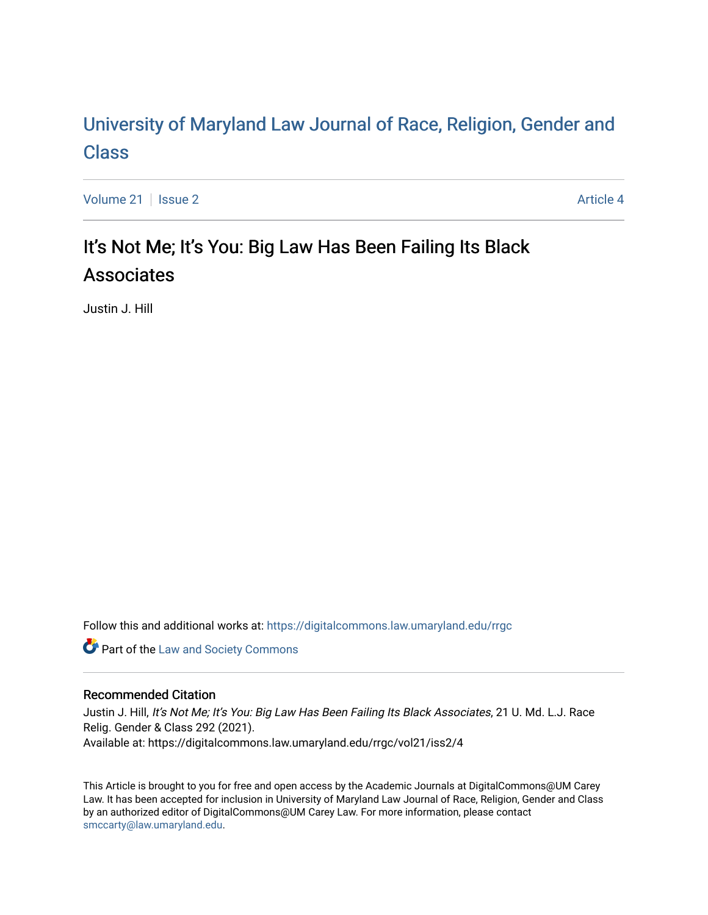# [University of Maryland Law Journal of Race, Religion, Gender and](https://digitalcommons.law.umaryland.edu/rrgc)  [Class](https://digitalcommons.law.umaryland.edu/rrgc)

[Volume 21](https://digitalcommons.law.umaryland.edu/rrgc/vol21) | [Issue 2](https://digitalcommons.law.umaryland.edu/rrgc/vol21/iss2) Article 4

# It's Not Me; It's You: Big Law Has Been Failing Its Black Associates

Justin J. Hill

Follow this and additional works at: [https://digitalcommons.law.umaryland.edu/rrgc](https://digitalcommons.law.umaryland.edu/rrgc?utm_source=digitalcommons.law.umaryland.edu%2Frrgc%2Fvol21%2Fiss2%2F4&utm_medium=PDF&utm_campaign=PDFCoverPages)

**Part of the [Law and Society Commons](http://network.bepress.com/hgg/discipline/853?utm_source=digitalcommons.law.umaryland.edu%2Frrgc%2Fvol21%2Fiss2%2F4&utm_medium=PDF&utm_campaign=PDFCoverPages)** 

# Recommended Citation

Justin J. Hill, It's Not Me; It's You: Big Law Has Been Failing Its Black Associates, 21 U. Md. L.J. Race Relig. Gender & Class 292 (2021). Available at: https://digitalcommons.law.umaryland.edu/rrgc/vol21/iss2/4

This Article is brought to you for free and open access by the Academic Journals at DigitalCommons@UM Carey Law. It has been accepted for inclusion in University of Maryland Law Journal of Race, Religion, Gender and Class by an authorized editor of DigitalCommons@UM Carey Law. For more information, please contact [smccarty@law.umaryland.edu](mailto:smccarty@law.umaryland.edu).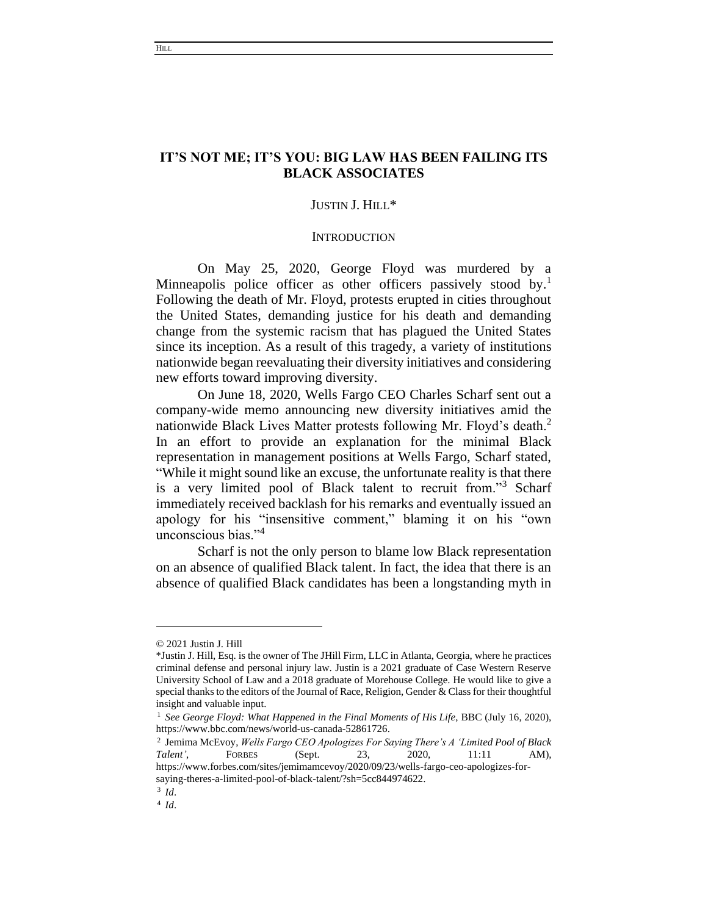# **IT'S NOT ME; IT'S YOU: BIG LAW HAS BEEN FAILING ITS BLACK ASSOCIATES**

## JUSTIN J. HILL\*

#### **INTRODUCTION**

On May 25, 2020, George Floyd was murdered by a Minneapolis police officer as other officers passively stood by.<sup>1</sup> Following the death of Mr. Floyd, protests erupted in cities throughout the United States, demanding justice for his death and demanding change from the systemic racism that has plagued the United States since its inception. As a result of this tragedy, a variety of institutions nationwide began reevaluating their diversity initiatives and considering new efforts toward improving diversity.

On June 18, 2020, Wells Fargo CEO Charles Scharf sent out a company-wide memo announcing new diversity initiatives amid the nationwide Black Lives Matter protests following Mr. Floyd's death.<sup>2</sup> In an effort to provide an explanation for the minimal Black representation in management positions at Wells Fargo, Scharf stated, "While it might sound like an excuse, the unfortunate reality is that there is a very limited pool of Black talent to recruit from."<sup>3</sup> Scharf immediately received backlash for his remarks and eventually issued an apology for his "insensitive comment," blaming it on his "own unconscious bias."<sup>4</sup>

Scharf is not the only person to blame low Black representation on an absence of qualified Black talent. In fact, the idea that there is an absence of qualified Black candidates has been a longstanding myth in

<sup>© 2021</sup> Justin J. Hill

<sup>\*</sup>Justin J. Hill, Esq. is the owner of The JHill Firm, LLC in Atlanta, Georgia, where he practices criminal defense and personal injury law. Justin is a 2021 graduate of Case Western Reserve University School of Law and a 2018 graduate of Morehouse College. He would like to give a special thanks to the editors of the Journal of Race, Religion, Gender & Class for their thoughtful insight and valuable input.

<sup>1</sup> *See George Floyd: What Happened in the Final Moments of His Life*, BBC (July 16, 2020), https://www.bbc.com/news/world-us-canada-52861726.

<sup>2</sup> Jemima McEvoy, *Wells Fargo CEO Apologizes For Saying There's A 'Limited Pool of Black Talent'*, FORBES (Sept. 23, 2020, 11:11 AM), https://www.forbes.com/sites/jemimamcevoy/2020/09/23/wells-fargo-ceo-apologizes-forsaying-theres-a-limited-pool-of-black-talent/?sh=5cc844974622.

<sup>3</sup> *Id*.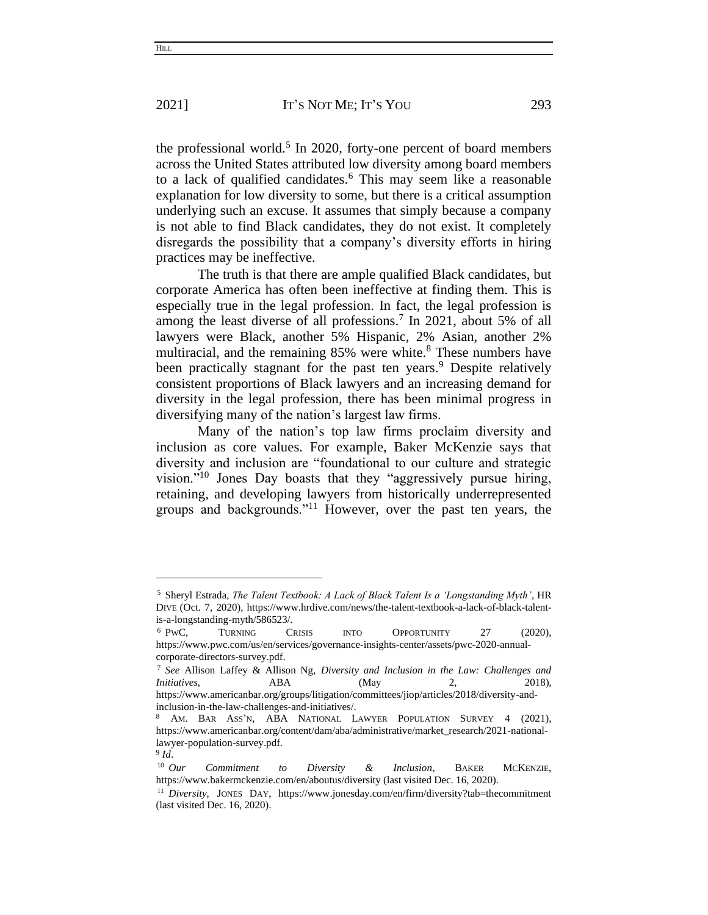the professional world.<sup>5</sup> In 2020, forty-one percent of board members across the United States attributed low diversity among board members to a lack of qualified candidates.<sup>6</sup> This may seem like a reasonable explanation for low diversity to some, but there is a critical assumption underlying such an excuse. It assumes that simply because a company is not able to find Black candidates, they do not exist. It completely disregards the possibility that a company's diversity efforts in hiring practices may be ineffective.

The truth is that there are ample qualified Black candidates, but corporate America has often been ineffective at finding them. This is especially true in the legal profession. In fact, the legal profession is among the least diverse of all professions.<sup>7</sup> In 2021, about 5% of all lawyers were Black, another 5% Hispanic, 2% Asian, another 2% multiracial, and the remaining  $85\%$  were white.<sup>8</sup> These numbers have been practically stagnant for the past ten years.<sup>9</sup> Despite relatively consistent proportions of Black lawyers and an increasing demand for diversity in the legal profession, there has been minimal progress in diversifying many of the nation's largest law firms.

Many of the nation's top law firms proclaim diversity and inclusion as core values. For example, Baker McKenzie says that diversity and inclusion are "foundational to our culture and strategic vision."<sup>10</sup> Jones Day boasts that they "aggressively pursue hiring, retaining, and developing lawyers from historically underrepresented groups and backgrounds."<sup>11</sup> However, over the past ten years, the

<sup>5</sup> Sheryl Estrada, *The Talent Textbook: A Lack of Black Talent Is a 'Longstanding Myth'*, HR DIVE (Oct. 7, 2020), https://www.hrdive.com/news/the-talent-textbook-a-lack-of-black-talentis-a-longstanding-myth/586523/.

<sup>6</sup> PWC, TURNING CRISIS INTO OPPORTUNITY 27 (2020), https://www.pwc.com/us/en/services/governance-insights-center/assets/pwc-2020-annualcorporate-directors-survey.pdf.

<sup>7</sup> *See* Allison Laffey & Allison Ng, *Diversity and Inclusion in the Law: Challenges and Initiatives*, ABA (May 2, 2018), https://www.americanbar.org/groups/litigation/committees/jiop/articles/2018/diversity-and-

inclusion-in-the-law-challenges-and-initiatives/.

<sup>8</sup> AM. BAR ASS'N, ABA NATIONAL LAWYER POPULATION SURVEY 4 (2021), https://www.americanbar.org/content/dam/aba/administrative/market\_research/2021-nationallawyer-population-survey.pdf.

<sup>9</sup> *Id*.

<sup>10</sup> *Our Commitment to Diversity & Inclusion*, BAKER MCKENZIE, https://www.bakermckenzie.com/en/aboutus/diversity (last visited Dec. 16, 2020).

<sup>11</sup> *Diversity*, JONES DAY, https://www.jonesday.com/en/firm/diversity?tab=thecommitment (last visited Dec. 16, 2020).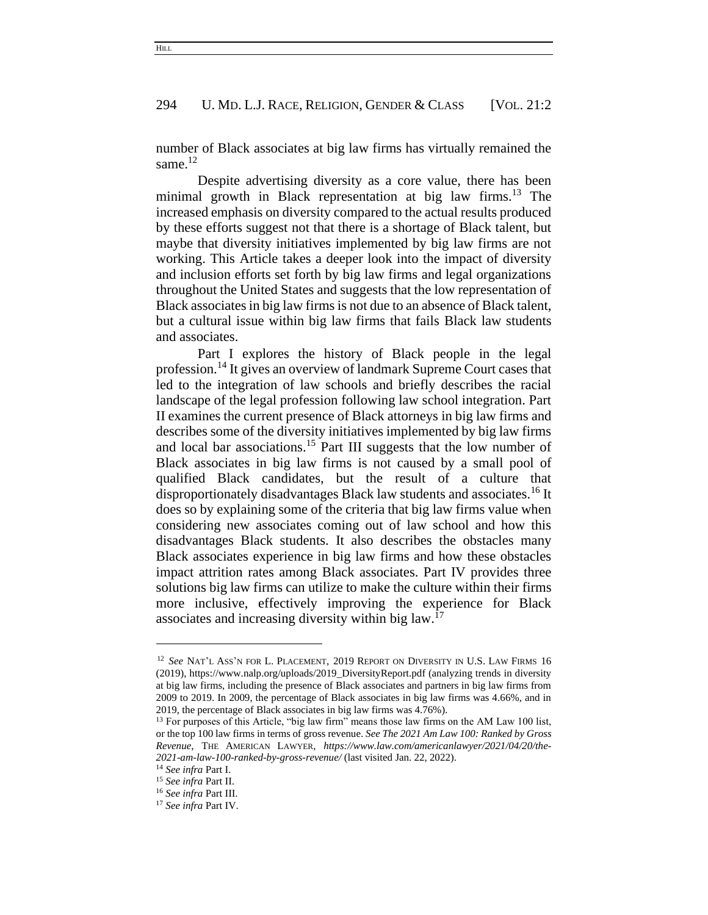number of Black associates at big law firms has virtually remained the same.<sup>12</sup>

Despite advertising diversity as a core value, there has been minimal growth in Black representation at big law firms.<sup>13</sup> The increased emphasis on diversity compared to the actual results produced by these efforts suggest not that there is a shortage of Black talent, but maybe that diversity initiatives implemented by big law firms are not working. This Article takes a deeper look into the impact of diversity and inclusion efforts set forth by big law firms and legal organizations throughout the United States and suggests that the low representation of Black associates in big law firms is not due to an absence of Black talent, but a cultural issue within big law firms that fails Black law students and associates.

Part I explores the history of Black people in the legal profession.<sup>14</sup> It gives an overview of landmark Supreme Court cases that led to the integration of law schools and briefly describes the racial landscape of the legal profession following law school integration. Part II examines the current presence of Black attorneys in big law firms and describes some of the diversity initiatives implemented by big law firms and local bar associations.<sup>15</sup> Part III suggests that the low number of Black associates in big law firms is not caused by a small pool of qualified Black candidates, but the result of a culture that disproportionately disadvantages Black law students and associates.<sup>16</sup> It does so by explaining some of the criteria that big law firms value when considering new associates coming out of law school and how this disadvantages Black students. It also describes the obstacles many Black associates experience in big law firms and how these obstacles impact attrition rates among Black associates. Part IV provides three solutions big law firms can utilize to make the culture within their firms more inclusive, effectively improving the experience for Black associates and increasing diversity within big law.<sup>17</sup>

<sup>12</sup> *See* NAT'L ASS'N FOR L. PLACEMENT, 2019 REPORT ON DIVERSITY IN U.S. LAW FIRMS 16 (2019), https://www.nalp.org/uploads/2019\_DiversityReport.pdf (analyzing trends in diversity at big law firms, including the presence of Black associates and partners in big law firms from 2009 to 2019. In 2009, the percentage of Black associates in big law firms was 4.66%, and in 2019, the percentage of Black associates in big law firms was 4.76%).

<sup>&</sup>lt;sup>13</sup> For purposes of this Article, "big law firm" means those law firms on the AM Law 100 list, or the top 100 law firms in terms of gross revenue. *See The 2021 Am Law 100: Ranked by Gross Revenue*, THE AMERICAN LAWYER, *https://www.law.com/americanlawyer/2021/04/20/the-2021-am-law-100-ranked-by-gross-revenue/* (last visited Jan. 22, 2022).

<sup>14</sup> *See infra* Part I.

<sup>15</sup> *See infra* Part II.

<sup>16</sup> *See infra* Part III.

<sup>17</sup> *See infra* Part IV.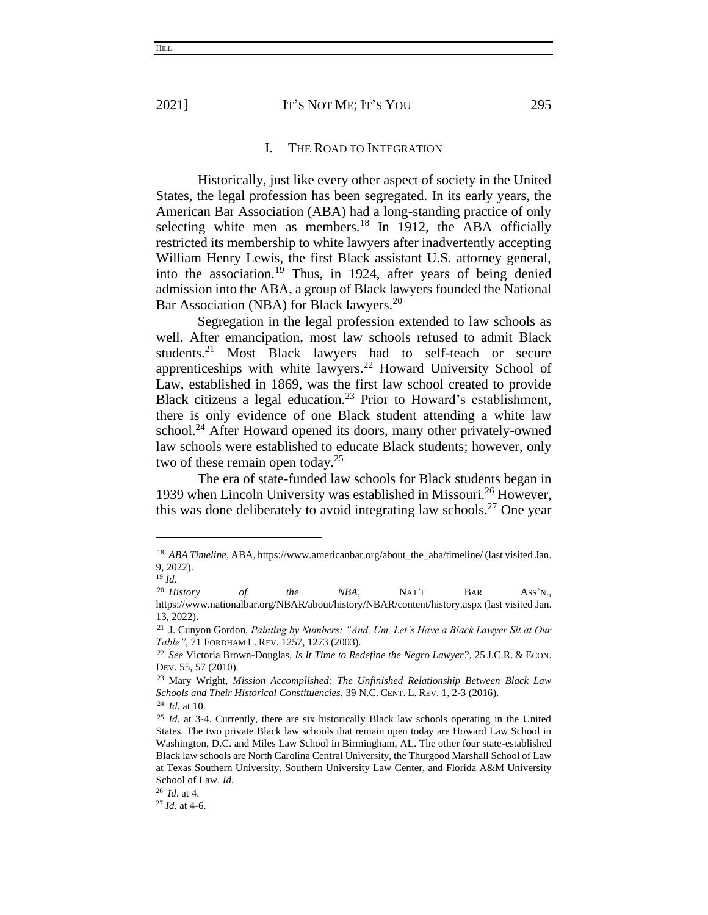#### I. THE ROAD TO INTEGRATION

Historically, just like every other aspect of society in the United States, the legal profession has been segregated. In its early years, the American Bar Association (ABA) had a long-standing practice of only selecting white men as members.<sup>18</sup> In 1912, the ABA officially restricted its membership to white lawyers after inadvertently accepting William Henry Lewis, the first Black assistant U.S. attorney general, into the association.<sup>19</sup> Thus, in 1924, after years of being denied admission into the ABA, a group of Black lawyers founded the National Bar Association (NBA) for Black lawyers.<sup>20</sup>

Segregation in the legal profession extended to law schools as well. After emancipation, most law schools refused to admit Black students.<sup>21</sup> Most Black lawyers had to self-teach or secure apprenticeships with white lawyers.<sup>22</sup> Howard University School of Law, established in 1869, was the first law school created to provide Black citizens a legal education.<sup>23</sup> Prior to Howard's establishment, there is only evidence of one Black student attending a white law school.<sup>24</sup> After Howard opened its doors, many other privately-owned law schools were established to educate Black students; however, only two of these remain open today.<sup>25</sup>

The era of state-funded law schools for Black students began in 1939 when Lincoln University was established in Missouri.<sup>26</sup> However, this was done deliberately to avoid integrating law schools. <sup>27</sup> One year

<sup>&</sup>lt;sup>18</sup> *ABA Timeline*, ABA, https://www.americanbar.org/about\_the\_aba/timeline/ (last visited Jan. 9, 2022).

<sup>19</sup> *Id*.

<sup>20</sup> *History of the NBA*, NAT'L BAR ASS'N., https://www.nationalbar.org/NBAR/about/history/NBAR/content/history.aspx (last visited Jan. 13, 2022).

<sup>21</sup> J. Cunyon Gordon, *Painting by Numbers: "And, Um, Let's Have a Black Lawyer Sit at Our Table"*, 71 FORDHAM L. REV. 1257, 1273 (2003).

<sup>22</sup> *See* Victoria Brown-Douglas, *Is It Time to Redefine the Negro Lawyer?*, 25 J.C.R. & ECON. DEV. 55, 57 (2010).

<sup>23</sup> Mary Wright, *Mission Accomplished: The Unfinished Relationship Between Black Law Schools and Their Historical Constituencies*, 39 N.C. CENT. L. REV. 1, 2-3 (2016).

<sup>24</sup> *Id*. at 10.

<sup>&</sup>lt;sup>25</sup> *Id.* at 3-4. Currently, there are six historically Black law schools operating in the United States. The two private Black law schools that remain open today are Howard Law School in Washington, D.C. and Miles Law School in Birmingham, AL. The other four state-established Black law schools are North Carolina Central University, the Thurgood Marshall School of Law at Texas Southern University, Southern University Law Center, and Florida A&M University School of Law. *Id*.

<sup>26</sup> *Id*. at 4.

<sup>27</sup> *Id.* at 4-6.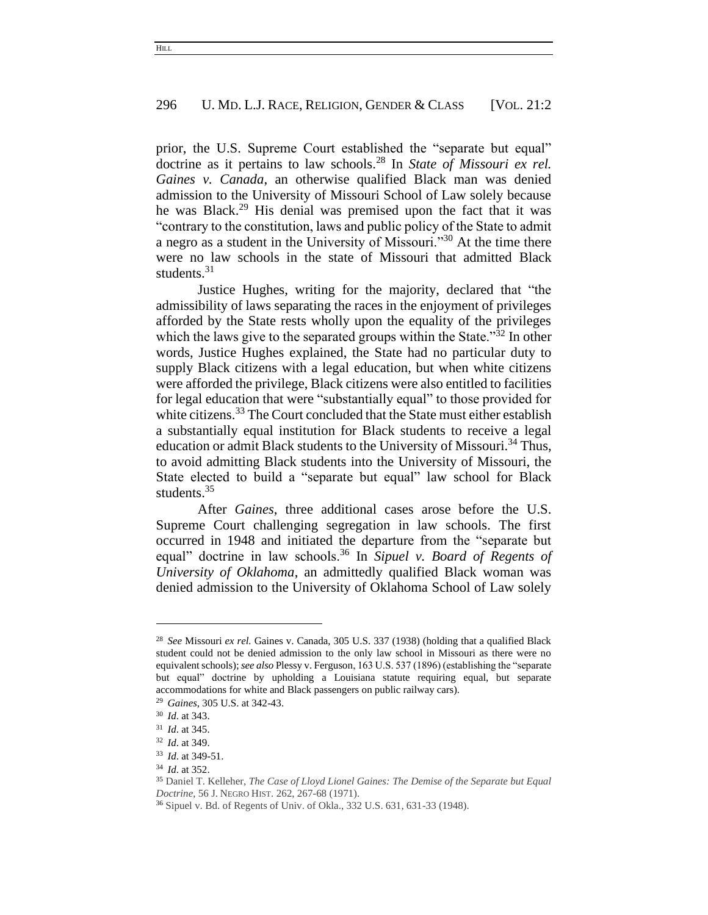prior, the U.S. Supreme Court established the "separate but equal" doctrine as it pertains to law schools.<sup>28</sup> In *State of Missouri ex rel. Gaines v. Canada*, an otherwise qualified Black man was denied admission to the University of Missouri School of Law solely because he was Black. <sup>29</sup> His denial was premised upon the fact that it was "contrary to the constitution, laws and public policy of the State to admit a negro as a student in the University of Missouri."<sup>30</sup> At the time there were no law schools in the state of Missouri that admitted Black students.<sup>31</sup>

Justice Hughes, writing for the majority, declared that "the admissibility of laws separating the races in the enjoyment of privileges afforded by the State rests wholly upon the equality of the privileges which the laws give to the separated groups within the State."<sup>32</sup> In other words, Justice Hughes explained, the State had no particular duty to supply Black citizens with a legal education, but when white citizens were afforded the privilege, Black citizens were also entitled to facilities for legal education that were "substantially equal" to those provided for white citizens.<sup>33</sup> The Court concluded that the State must either establish a substantially equal institution for Black students to receive a legal education or admit Black students to the University of Missouri.<sup>34</sup> Thus, to avoid admitting Black students into the University of Missouri, the State elected to build a "separate but equal" law school for Black students. 35

After *Gaines*, three additional cases arose before the U.S. Supreme Court challenging segregation in law schools. The first occurred in 1948 and initiated the departure from the "separate but equal" doctrine in law schools.<sup>36</sup> In *Sipuel v. Board of Regents of University of Oklahoma*, an admittedly qualified Black woman was denied admission to the University of Oklahoma School of Law solely

<sup>28</sup> *See* Missouri *ex rel.* Gaines v. Canada, 305 U.S. 337 (1938) (holding that a qualified Black student could not be denied admission to the only law school in Missouri as there were no equivalent schools); *see also* Plessy v. Ferguson, 163 U.S. 537 (1896) (establishing the "separate but equal" doctrine by upholding a Louisiana statute requiring equal, but separate accommodations for white and Black passengers on public railway cars).

<sup>29</sup> *Gaines*, 305 U.S. at 342-43.

<sup>30</sup> *Id*. at 343.

<sup>31</sup> *Id*. at 345.

<sup>32</sup> *Id*. at 349.

<sup>33</sup> *Id*. at 349-51.

<sup>34</sup> *Id*. at 352.

<sup>35</sup> Daniel T. Kelleher, *The Case of Lloyd Lionel Gaines: The Demise of the Separate but Equal Doctrine*, 56 J. NEGRO HIST. 262, 267-68 (1971).

<sup>36</sup> Sipuel v. Bd. of Regents of Univ. of Okla., 332 U.S. 631, 631-33 (1948).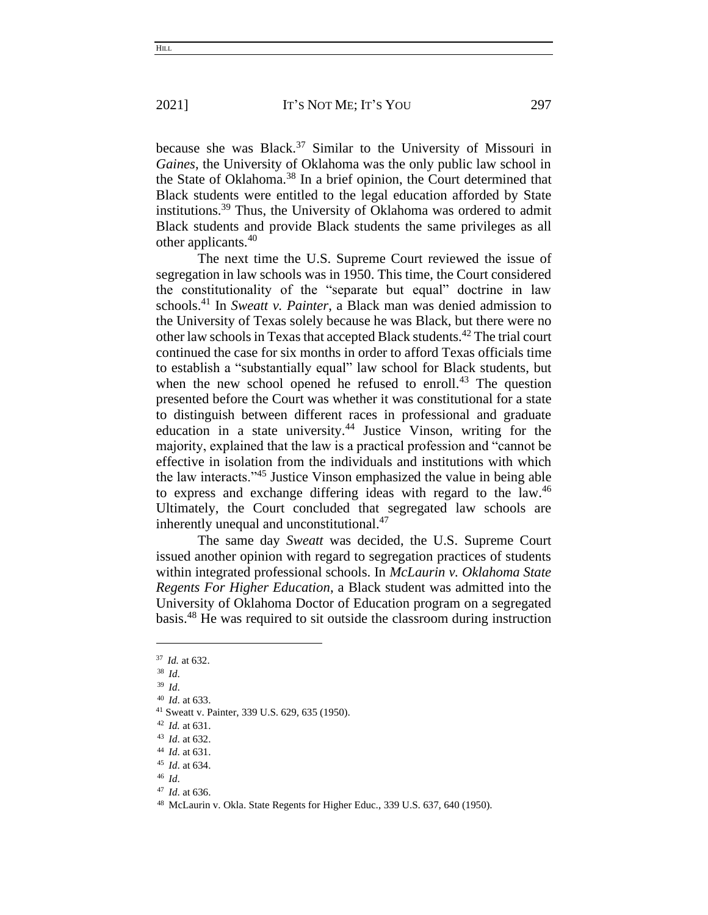because she was Black. <sup>37</sup> Similar to the University of Missouri in *Gaines*, the University of Oklahoma was the only public law school in the State of Oklahoma.<sup>38</sup> In a brief opinion, the Court determined that Black students were entitled to the legal education afforded by State institutions.<sup>39</sup> Thus, the University of Oklahoma was ordered to admit Black students and provide Black students the same privileges as all other applicants.<sup>40</sup>

The next time the U.S. Supreme Court reviewed the issue of segregation in law schools was in 1950. This time, the Court considered the constitutionality of the "separate but equal" doctrine in law schools.<sup>41</sup> In *Sweatt v. Painter*, a Black man was denied admission to the University of Texas solely because he was Black, but there were no other law schools in Texas that accepted Black students.<sup>42</sup> The trial court continued the case for six months in order to afford Texas officials time to establish a "substantially equal" law school for Black students, but when the new school opened he refused to enroll.<sup>43</sup> The question presented before the Court was whether it was constitutional for a state to distinguish between different races in professional and graduate education in a state university.<sup>44</sup> Justice Vinson, writing for the majority, explained that the law is a practical profession and "cannot be effective in isolation from the individuals and institutions with which the law interacts."<sup>45</sup> Justice Vinson emphasized the value in being able to express and exchange differing ideas with regard to the law.<sup>46</sup> Ultimately, the Court concluded that segregated law schools are inherently unequal and unconstitutional.<sup>47</sup>

The same day *Sweatt* was decided, the U.S. Supreme Court issued another opinion with regard to segregation practices of students within integrated professional schools. In *McLaurin v. Oklahoma State Regents For Higher Education*, a Black student was admitted into the University of Oklahoma Doctor of Education program on a segregated basis.<sup>48</sup> He was required to sit outside the classroom during instruction

<sup>37</sup> *Id.* at 632.

<sup>38</sup> *Id*.

<sup>39</sup> *Id*.

<sup>40</sup> *Id*. at 633.

<sup>41</sup> Sweatt v. Painter, 339 U.S. 629, 635 (1950).

<sup>42</sup> *Id.* at 631.

<sup>43</sup> *Id*. at 632.

<sup>44</sup> *Id*. at 631.

<sup>45</sup> *Id*. at 634.

<sup>46</sup> *Id*.

<sup>47</sup> *Id*. at 636.

<sup>48</sup> McLaurin v. Okla. State Regents for Higher Educ., 339 U.S. 637, 640 (1950).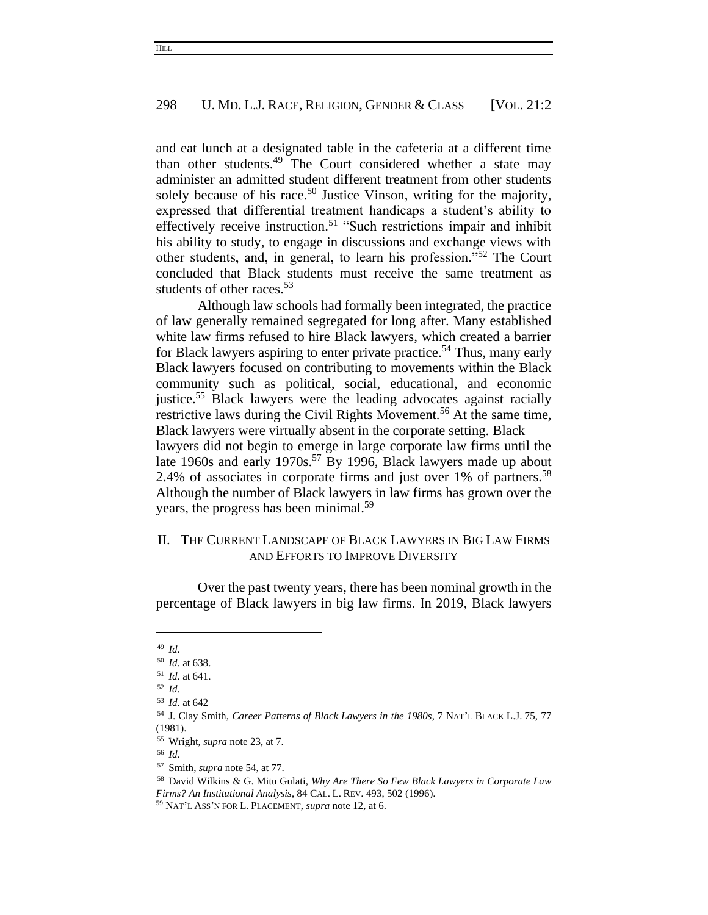and eat lunch at a designated table in the cafeteria at a different time than other students.<sup>49</sup> The Court considered whether a state may administer an admitted student different treatment from other students solely because of his race.<sup>50</sup> Justice Vinson, writing for the majority, expressed that differential treatment handicaps a student's ability to effectively receive instruction.<sup>51</sup> "Such restrictions impair and inhibit his ability to study, to engage in discussions and exchange views with other students, and, in general, to learn his profession."<sup>52</sup> The Court concluded that Black students must receive the same treatment as students of other races.<sup>53</sup>

Although law schools had formally been integrated, the practice of law generally remained segregated for long after. Many established white law firms refused to hire Black lawyers, which created a barrier for Black lawyers aspiring to enter private practice. <sup>54</sup> Thus, many early Black lawyers focused on contributing to movements within the Black community such as political, social, educational, and economic justice.<sup>55</sup> Black lawyers were the leading advocates against racially restrictive laws during the Civil Rights Movement.<sup>56</sup> At the same time, Black lawyers were virtually absent in the corporate setting. Black lawyers did not begin to emerge in large corporate law firms until the late 1960s and early 1970s.<sup>57</sup> By 1996, Black lawyers made up about 2.4% of associates in corporate firms and just over 1% of partners.<sup>58</sup> Although the number of Black lawyers in law firms has grown over the years, the progress has been minimal.<sup>59</sup>

# II. THE CURRENT LANDSCAPE OF BLACK LAWYERS IN BIG LAW FIRMS AND EFFORTS TO IMPROVE DIVERSITY

Over the past twenty years, there has been nominal growth in the percentage of Black lawyers in big law firms. In 2019, Black lawyers

<sup>49</sup> *Id*.

<sup>50</sup> *Id*. at 638.

<sup>51</sup> *Id*. at 641.

<sup>52</sup> *Id*.

<sup>53</sup> *Id*. at 642

<sup>54</sup> J. Clay Smith, *Career Patterns of Black Lawyers in the 1980s*, 7 NAT'L BLACK L.J. 75, 77 (1981).

<sup>55</sup> Wright, *supra* note 23, at 7.

<sup>56</sup> *Id*.

<sup>57</sup> Smith, *supra* note 54, at 77.

<sup>58</sup> David Wilkins & G. Mitu Gulati, *Why Are There So Few Black Lawyers in Corporate Law Firms? An Institutional Analysis*, 84 CAL. L. REV. 493, 502 (1996).

<sup>59</sup> NAT'L ASS'N FOR L. PLACEMENT, *supra* note 12, at 6.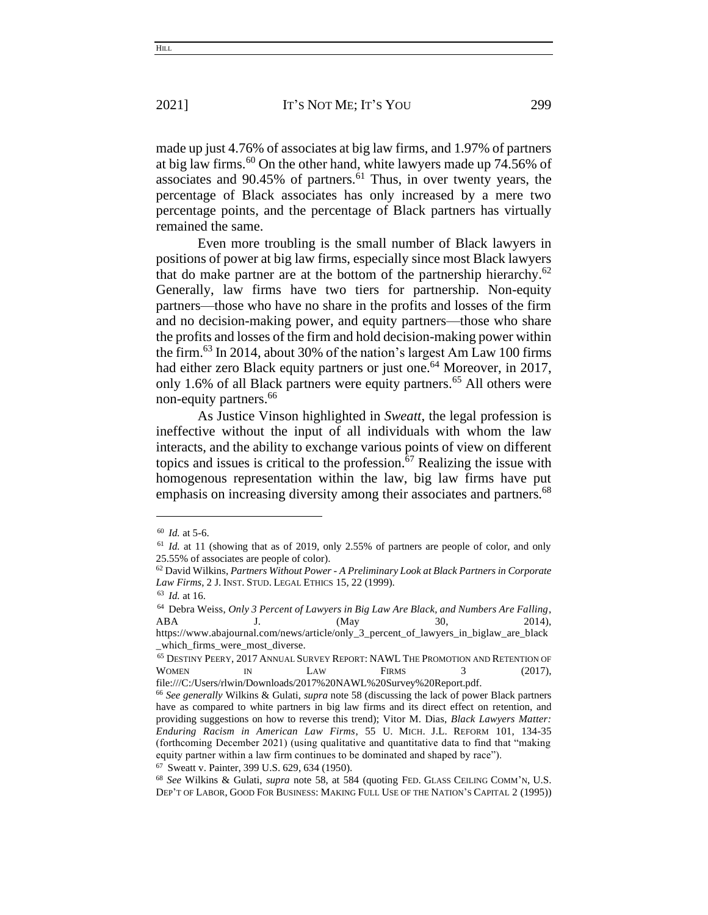made up just 4.76% of associates at big law firms, and 1.97% of partners at big law firms.<sup>60</sup> On the other hand, white lawyers made up 74.56% of associates and 90.45% of partners.<sup>61</sup> Thus, in over twenty years, the percentage of Black associates has only increased by a mere two percentage points, and the percentage of Black partners has virtually remained the same.

Even more troubling is the small number of Black lawyers in positions of power at big law firms, especially since most Black lawyers that do make partner are at the bottom of the partnership hierarchy.<sup>62</sup> Generally, law firms have two tiers for partnership. Non-equity partners—those who have no share in the profits and losses of the firm and no decision-making power, and equity partners—those who share the profits and losses of the firm and hold decision-making power within the firm. <sup>63</sup> In 2014, about 30% of the nation's largest Am Law 100 firms had either zero Black equity partners or just one.<sup>64</sup> Moreover, in 2017, only 1.6% of all Black partners were equity partners. <sup>65</sup> All others were non-equity partners.<sup>66</sup>

As Justice Vinson highlighted in *Sweatt*, the legal profession is ineffective without the input of all individuals with whom the law interacts, and the ability to exchange various points of view on different topics and issues is critical to the profession. $67$  Realizing the issue with homogenous representation within the law, big law firms have put emphasis on increasing diversity among their associates and partners.<sup>68</sup>

<sup>67</sup> Sweatt v. Painter, 399 U.S. 629, 634 (1950).

**HILL** 

<sup>60</sup> *Id.* at 5-6.

<sup>61</sup> *Id.* at 11 (showing that as of 2019, only 2.55% of partners are people of color, and only 25.55% of associates are people of color).

<sup>62</sup> David Wilkins, *Partners Without Power - A Preliminary Look at Black Partners in Corporate Law Firms*, 2 J. INST. STUD. LEGAL ETHICS 15, 22 (1999).

<sup>63</sup> *Id.* at 16.

<sup>64</sup> Debra Weiss, *Only 3 Percent of Lawyers in Big Law Are Black, and Numbers Are Falling*, ABA J. (May 30, 2014),

https://www.abajournal.com/news/article/only\_3\_percent\_of\_lawyers\_in\_biglaw\_are\_black \_which\_firms\_were\_most\_diverse.

<sup>65</sup> DESTINY PEERY, 2017 ANNUAL SURVEY REPORT: NAWL THE PROMOTION AND RETENTION OF WOMEN IN LAW FIRMS 3 (2017), file:///C:/Users/rlwin/Downloads/2017%20NAWL%20Survey%20Report.pdf.

<sup>66</sup> *See generally* Wilkins & Gulati, *supra* note 58 (discussing the lack of power Black partners have as compared to white partners in big law firms and its direct effect on retention, and providing suggestions on how to reverse this trend); Vitor M. Dias, *Black Lawyers Matter: Enduring Racism in American Law Firms*, 55 U. MICH. J.L. REFORM 101, 134-35 (forthcoming December 2021) (using qualitative and quantitative data to find that "making equity partner within a law firm continues to be dominated and shaped by race").

<sup>68</sup> *See* Wilkins & Gulati, *supra* note 58, at 584 (quoting FED. GLASS CEILING COMM'N, U.S. DEP'T OF LABOR, GOOD FOR BUSINESS: MAKING FULL USE OF THE NATION'S CAPITAL 2 (1995))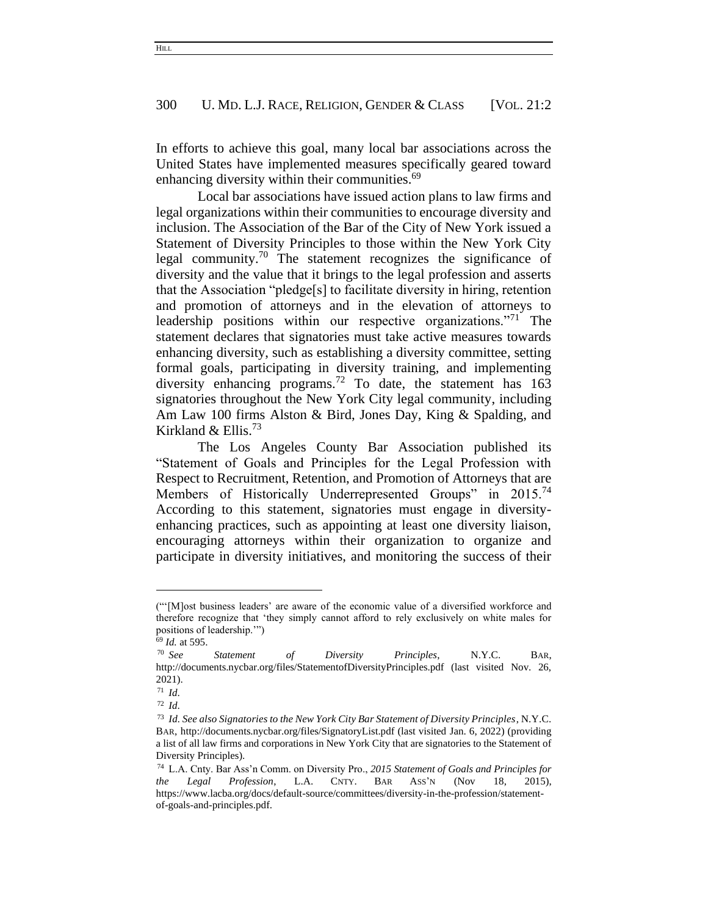In efforts to achieve this goal, many local bar associations across the United States have implemented measures specifically geared toward enhancing diversity within their communities.<sup>69</sup>

Local bar associations have issued action plans to law firms and legal organizations within their communities to encourage diversity and inclusion. The Association of the Bar of the City of New York issued a Statement of Diversity Principles to those within the New York City legal community.<sup>70</sup> The statement recognizes the significance of diversity and the value that it brings to the legal profession and asserts that the Association "pledge[s] to facilitate diversity in hiring, retention and promotion of attorneys and in the elevation of attorneys to leadership positions within our respective organizations.<sup>"71</sup> The statement declares that signatories must take active measures towards enhancing diversity, such as establishing a diversity committee, setting formal goals, participating in diversity training, and implementing diversity enhancing programs.<sup>72</sup> To date, the statement has  $163$ signatories throughout the New York City legal community, including Am Law 100 firms Alston & Bird, Jones Day, King & Spalding, and Kirkland & Ellis. 73

The Los Angeles County Bar Association published its "Statement of Goals and Principles for the Legal Profession with Respect to Recruitment, Retention, and Promotion of Attorneys that are Members of Historically Underrepresented Groups" in 2015.<sup>74</sup> According to this statement, signatories must engage in diversityenhancing practices, such as appointing at least one diversity liaison, encouraging attorneys within their organization to organize and participate in diversity initiatives, and monitoring the success of their

<sup>(&</sup>quot;'[M]ost business leaders' are aware of the economic value of a diversified workforce and therefore recognize that 'they simply cannot afford to rely exclusively on white males for positions of leadership.'")

<sup>69</sup> *Id.* at 595.

<sup>70</sup> *See Statement of Diversity Principles*, N.Y.C. BAR, http://documents.nycbar.org/files/StatementofDiversityPrinciples.pdf (last visited Nov. 26, 2021).

<sup>71</sup> *Id*.

<sup>72</sup> *Id*.

<sup>73</sup> *Id. See also Signatories to the New York City Bar Statement of Diversity Principles*, N.Y.C. BAR, http://documents.nycbar.org/files/SignatoryList.pdf (last visited Jan. 6, 2022) (providing a list of all law firms and corporations in New York City that are signatories to the Statement of Diversity Principles).

<sup>74</sup> L.A. Cnty. Bar Ass'n Comm. on Diversity Pro., *2015 Statement of Goals and Principles for the Legal Profession*, L.A. CNTY. BAR ASS'N (Nov 18, 2015), https://www.lacba.org/docs/default-source/committees/diversity-in-the-profession/statementof-goals-and-principles.pdf.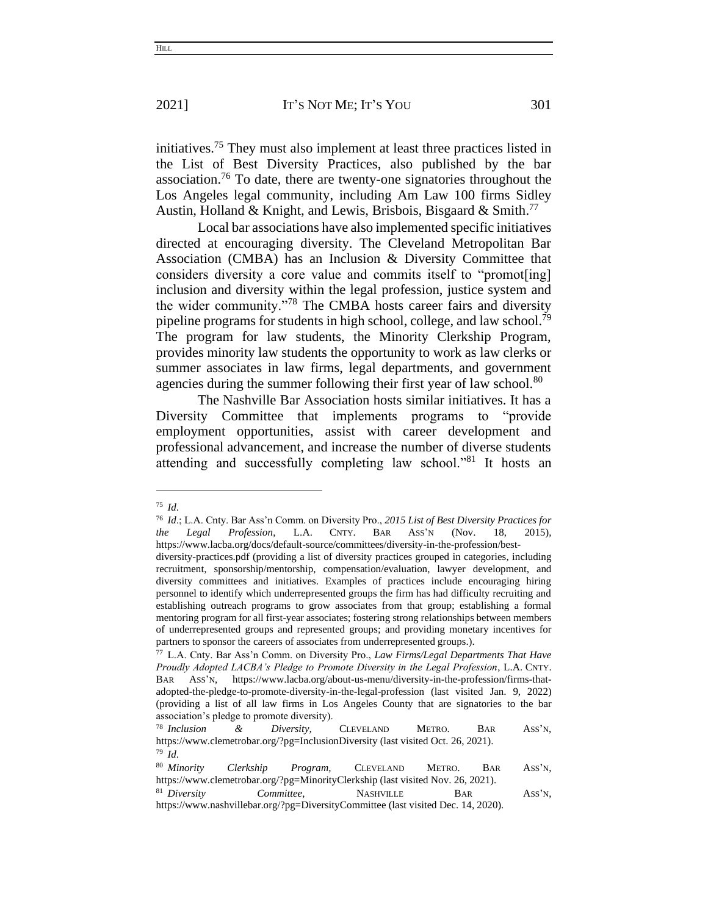initiatives.<sup>75</sup> They must also implement at least three practices listed in the List of Best Diversity Practices, also published by the bar association.<sup>76</sup> To date, there are twenty-one signatories throughout the Los Angeles legal community, including Am Law 100 firms Sidley Austin, Holland & Knight, and Lewis, Brisbois, Bisgaard & Smith.<sup>77</sup>

Local bar associations have also implemented specific initiatives directed at encouraging diversity. The Cleveland Metropolitan Bar Association (CMBA) has an Inclusion & Diversity Committee that considers diversity a core value and commits itself to "promot[ing] inclusion and diversity within the legal profession, justice system and the wider community."<sup>78</sup> The CMBA hosts career fairs and diversity pipeline programs for students in high school, college, and law school.<sup>79</sup> The program for law students, the Minority Clerkship Program, provides minority law students the opportunity to work as law clerks or summer associates in law firms, legal departments, and government agencies during the summer following their first year of law school.<sup>80</sup>

The Nashville Bar Association hosts similar initiatives. It has a Diversity Committee that implements programs to "provide employment opportunities, assist with career development and professional advancement, and increase the number of diverse students attending and successfully completing law school."<sup>81</sup> It hosts an

<sup>75</sup> *Id*.

<sup>76</sup> *Id*.; L.A. Cnty. Bar Ass'n Comm. on Diversity Pro., *2015 List of Best Diversity Practices for the Legal Profession*, L.A. CNTY. BAR ASS'N (Nov. 18, 2015), https://www.lacba.org/docs/default-source/committees/diversity-in-the-profession/best-

diversity-practices.pdf (providing a list of diversity practices grouped in categories, including recruitment, sponsorship/mentorship, compensation/evaluation, lawyer development, and diversity committees and initiatives. Examples of practices include encouraging hiring personnel to identify which underrepresented groups the firm has had difficulty recruiting and establishing outreach programs to grow associates from that group; establishing a formal mentoring program for all first-year associates; fostering strong relationships between members of underrepresented groups and represented groups; and providing monetary incentives for partners to sponsor the careers of associates from underrepresented groups.).

<sup>77</sup> L.A. Cnty. Bar Ass'n Comm. on Diversity Pro., *Law Firms/Legal Departments That Have Proudly Adopted LACBA's Pledge to Promote Diversity in the Legal Profession*, L.A. CNTY. BAR ASS'N, https://www.lacba.org/about-us-menu/diversity-in-the-profession/firms-thatadopted-the-pledge-to-promote-diversity-in-the-legal-profession (last visited Jan. 9, 2022) (providing a list of all law firms in Los Angeles County that are signatories to the bar association's pledge to promote diversity).

<sup>78</sup> *Inclusion & Diversity,* CLEVELAND METRO. BAR ASS'N, https://www.clemetrobar.org/?pg=InclusionDiversity (last visited Oct. 26, 2021). <sup>79</sup> *Id*.

<sup>80</sup> *Minority Clerkship Program,* CLEVELAND METRO. BAR ASS'N, https://www.clemetrobar.org/?pg=MinorityClerkship (last visited Nov. 26, 2021). <sup>81</sup> *Diversity Committee*, NASHVILLE BAR ASS'N, https://www.nashvillebar.org/?pg=DiversityCommittee (last visited Dec. 14, 2020).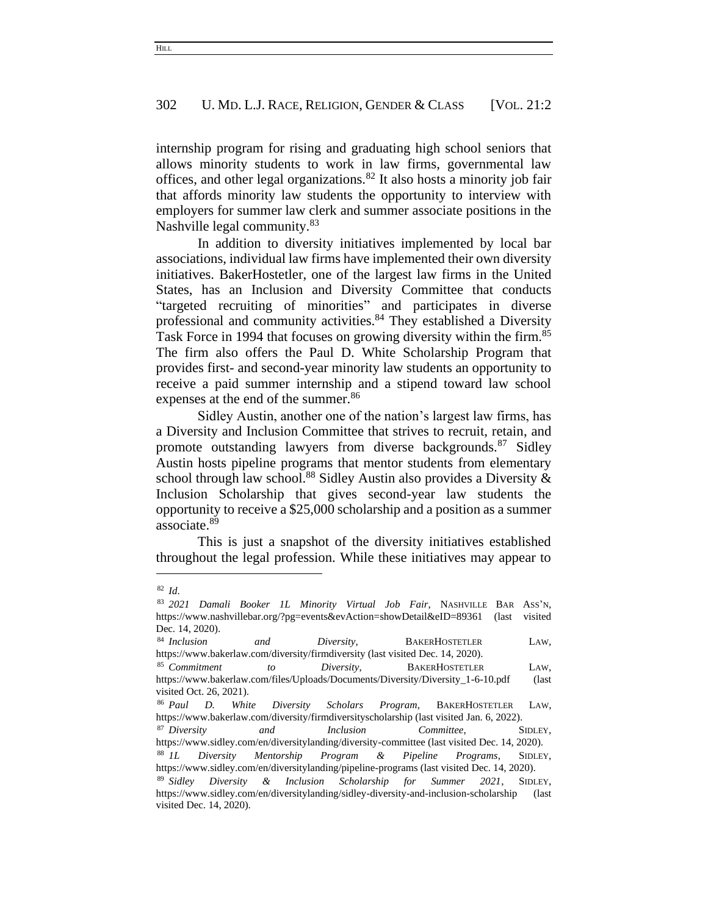internship program for rising and graduating high school seniors that allows minority students to work in law firms, governmental law offices, and other legal organizations.<sup>82</sup> It also hosts a minority job fair that affords minority law students the opportunity to interview with employers for summer law clerk and summer associate positions in the Nashville legal community.<sup>83</sup>

In addition to diversity initiatives implemented by local bar associations, individual law firms have implemented their own diversity initiatives. BakerHostetler, one of the largest law firms in the United States, has an Inclusion and Diversity Committee that conducts "targeted recruiting of minorities" and participates in diverse professional and community activities.<sup>84</sup> They established a Diversity Task Force in 1994 that focuses on growing diversity within the firm.<sup>85</sup> The firm also offers the Paul D. White Scholarship Program that provides first- and second-year minority law students an opportunity to receive a paid summer internship and a stipend toward law school expenses at the end of the summer.<sup>86</sup>

Sidley Austin, another one of the nation's largest law firms, has a Diversity and Inclusion Committee that strives to recruit, retain, and promote outstanding lawyers from diverse backgrounds.<sup>87</sup> Sidley Austin hosts pipeline programs that mentor students from elementary school through law school.<sup>88</sup> Sidley Austin also provides a Diversity  $\&$ Inclusion Scholarship that gives second-year law students the opportunity to receive a \$25,000 scholarship and a position as a summer associate.<sup>89</sup>

This is just a snapshot of the diversity initiatives established throughout the legal profession. While these initiatives may appear to

<sup>82</sup> *Id*.

<sup>83</sup> *2021 Damali Booker 1L Minority Virtual Job Fair*, NASHVILLE BAR ASS'N, https://www.nashvillebar.org/?pg=events&evAction=showDetail&eID=89361 (last visited Dec. 14, 2020).

<sup>84</sup> *Inclusion and Diversity*, BAKERHOSTETLER LAW, https://www.bakerlaw.com/diversity/firmdiversity (last visited Dec. 14, 2020).

<sup>85</sup> *Commitment to Diversity*, BAKERHOSTETLER LAW, https://www.bakerlaw.com/files/Uploads/Documents/Diversity/Diversity\_1-6-10.pdf (last visited Oct. 26, 2021).

<sup>86</sup> *Paul D. White Diversity Scholars Program*, BAKERHOSTETLER LAW, https://www.bakerlaw.com/diversity/firmdiversityscholarship (last visited Jan. 6, 2022).

<sup>87</sup> *Diversity and Inclusion Committee*, SIDLEY, https://www.sidley.com/en/diversitylanding/diversity-committee (last visited Dec. 14, 2020). <sup>88</sup> *1L Diversity Mentorship Program & Pipeline Programs*, SIDLEY,

https://www.sidley.com/en/diversitylanding/pipeline-programs (last visited Dec. 14, 2020).

<sup>89</sup> *Sidley Diversity & Inclusion Scholarship for Summer 2021*, SIDLEY, https://www.sidley.com/en/diversitylanding/sidley-diversity-and-inclusion-scholarship (last visited Dec. 14, 2020).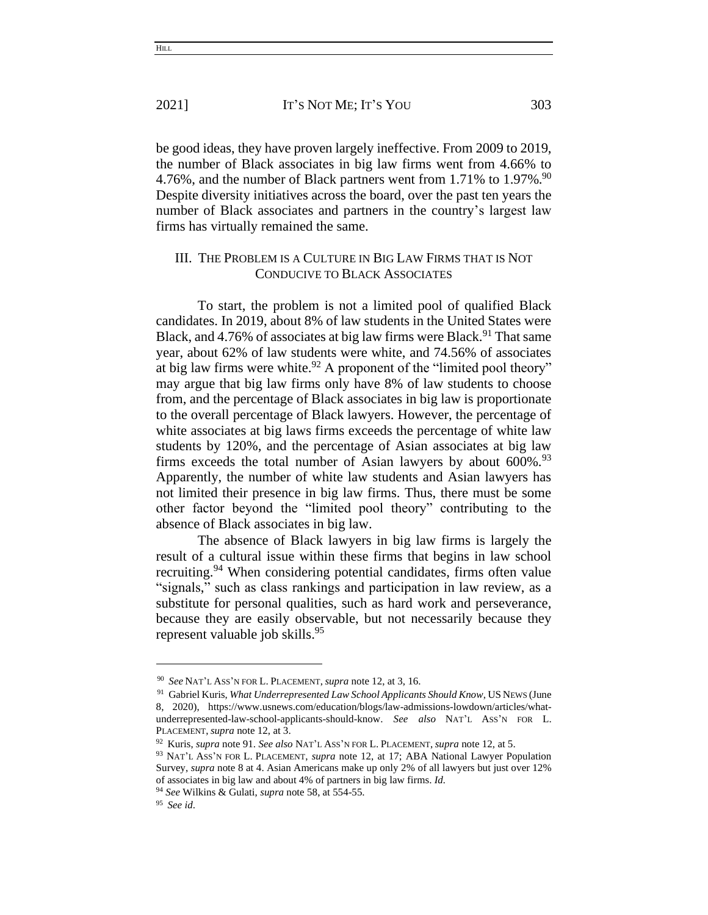be good ideas, they have proven largely ineffective. From 2009 to 2019, the number of Black associates in big law firms went from 4.66% to 4.76%, and the number of Black partners went from 1.71% to  $1.97\%$ .<sup>90</sup> Despite diversity initiatives across the board, over the past ten years the number of Black associates and partners in the country's largest law firms has virtually remained the same.

# III. THE PROBLEM IS A CULTURE IN BIG LAW FIRMS THAT IS NOT CONDUCIVE TO BLACK ASSOCIATES

To start, the problem is not a limited pool of qualified Black candidates. In 2019, about 8% of law students in the United States were Black, and 4.76% of associates at big law firms were Black.<sup>91</sup> That same year, about 62% of law students were white, and 74.56% of associates at big law firms were white.<sup>92</sup> A proponent of the "limited pool theory" may argue that big law firms only have 8% of law students to choose from, and the percentage of Black associates in big law is proportionate to the overall percentage of Black lawyers. However, the percentage of white associates at big laws firms exceeds the percentage of white law students by 120%, and the percentage of Asian associates at big law firms exceeds the total number of Asian lawyers by about  $600\%$ .<sup>93</sup> Apparently, the number of white law students and Asian lawyers has not limited their presence in big law firms. Thus, there must be some other factor beyond the "limited pool theory" contributing to the absence of Black associates in big law.

The absence of Black lawyers in big law firms is largely the result of a cultural issue within these firms that begins in law school recruiting.<sup>94</sup> When considering potential candidates, firms often value "signals," such as class rankings and participation in law review, as a substitute for personal qualities, such as hard work and perseverance, because they are easily observable, but not necessarily because they represent valuable job skills. 95

<sup>90</sup> *See* NAT'L ASS'N FOR L. PLACEMENT, *supra* note 12, at 3, 16.

<sup>91</sup> Gabriel Kuris, *What Underrepresented Law School Applicants Should Know*, US NEWS (June 8, 2020), https://www.usnews.com/education/blogs/law-admissions-lowdown/articles/whatunderrepresented-law-school-applicants-should-know. *See also* NAT'L ASS'N FOR L. PLACEMENT, *supra* note 12, at 3.

<sup>92</sup> Kuris, *supra* note 91. *See also* NAT'L ASS'N FOR L. PLACEMENT, *supra* note 12, at 5.

<sup>93</sup> NAT'L ASS'N FOR L. PLACEMENT, *supra* note 12, at 17; ABA National Lawyer Population Survey, *supra* note 8 at 4. Asian Americans make up only 2% of all lawyers but just over 12% of associates in big law and about 4% of partners in big law firms. *Id.*

<sup>94</sup> *See* Wilkins & Gulati, *supra* note 58, at 554-55.

<sup>95</sup> *See id*.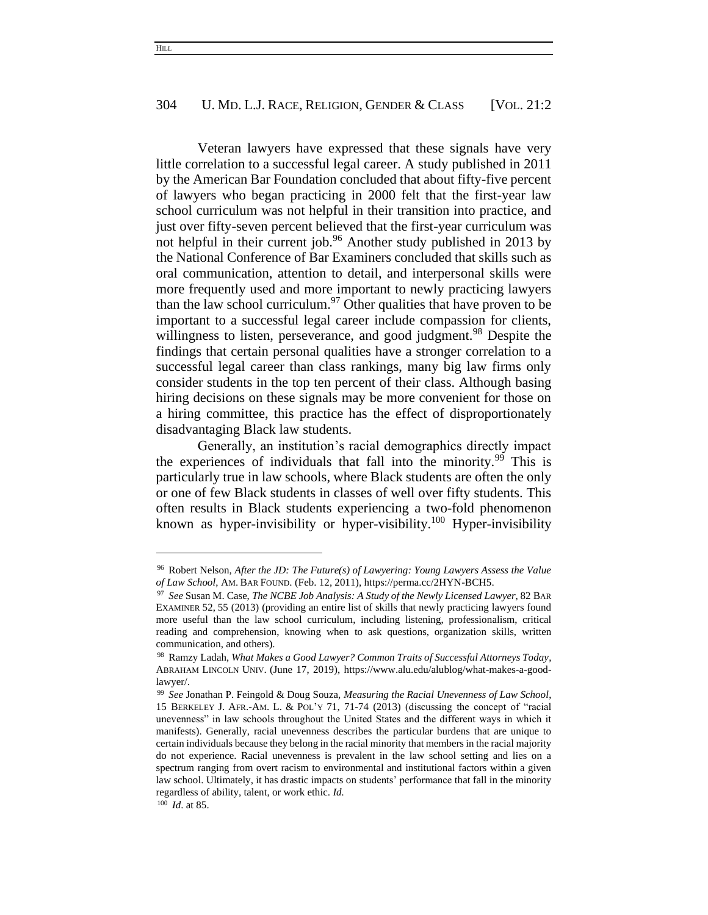Veteran lawyers have expressed that these signals have very little correlation to a successful legal career. A study published in 2011 by the American Bar Foundation concluded that about fifty-five percent of lawyers who began practicing in 2000 felt that the first-year law school curriculum was not helpful in their transition into practice, and just over fifty-seven percent believed that the first-year curriculum was not helpful in their current job.<sup>96</sup> Another study published in 2013 by the National Conference of Bar Examiners concluded that skills such as oral communication, attention to detail, and interpersonal skills were more frequently used and more important to newly practicing lawyers than the law school curriculum.<sup>97</sup> Other qualities that have proven to be important to a successful legal career include compassion for clients, willingness to listen, perseverance, and good judgment.<sup>98</sup> Despite the findings that certain personal qualities have a stronger correlation to a successful legal career than class rankings, many big law firms only consider students in the top ten percent of their class. Although basing hiring decisions on these signals may be more convenient for those on a hiring committee, this practice has the effect of disproportionately disadvantaging Black law students.

Generally, an institution's racial demographics directly impact the experiences of individuals that fall into the minority.<sup>99</sup> This is particularly true in law schools, where Black students are often the only or one of few Black students in classes of well over fifty students. This often results in Black students experiencing a two-fold phenomenon known as hyper-invisibility or hyper-visibility.<sup>100</sup> Hyper-invisibility

<sup>96</sup> Robert Nelson, *After the JD: The Future(s) of Lawyering: Young Lawyers Assess the Value of Law School*, AM. BAR FOUND. (Feb. 12, 2011), https://perma.cc/2HYN-BCH5.

<sup>97</sup> *See* Susan M. Case, *The NCBE Job Analysis: A Study of the Newly Licensed Lawyer*, 82 BAR EXAMINER 52, 55 (2013) (providing an entire list of skills that newly practicing lawyers found more useful than the law school curriculum, including listening, professionalism, critical reading and comprehension, knowing when to ask questions, organization skills, written communication, and others).

<sup>98</sup> Ramzy Ladah, *What Makes a Good Lawyer? Common Traits of Successful Attorneys Today*, ABRAHAM LINCOLN UNIV. (June 17, 2019), https://www.alu.edu/alublog/what-makes-a-goodlawyer/.

<sup>99</sup> *See* Jonathan P. Feingold & Doug Souza, *Measuring the Racial Unevenness of Law School*, 15 BERKELEY J. AFR.-AM. L. & POL'Y 71, 71-74 (2013) (discussing the concept of "racial unevenness" in law schools throughout the United States and the different ways in which it manifests). Generally, racial unevenness describes the particular burdens that are unique to certain individuals because they belong in the racial minority that members in the racial majority do not experience. Racial unevenness is prevalent in the law school setting and lies on a spectrum ranging from overt racism to environmental and institutional factors within a given law school. Ultimately, it has drastic impacts on students' performance that fall in the minority regardless of ability, talent, or work ethic. *Id.*

<sup>100</sup> *Id*. at 85.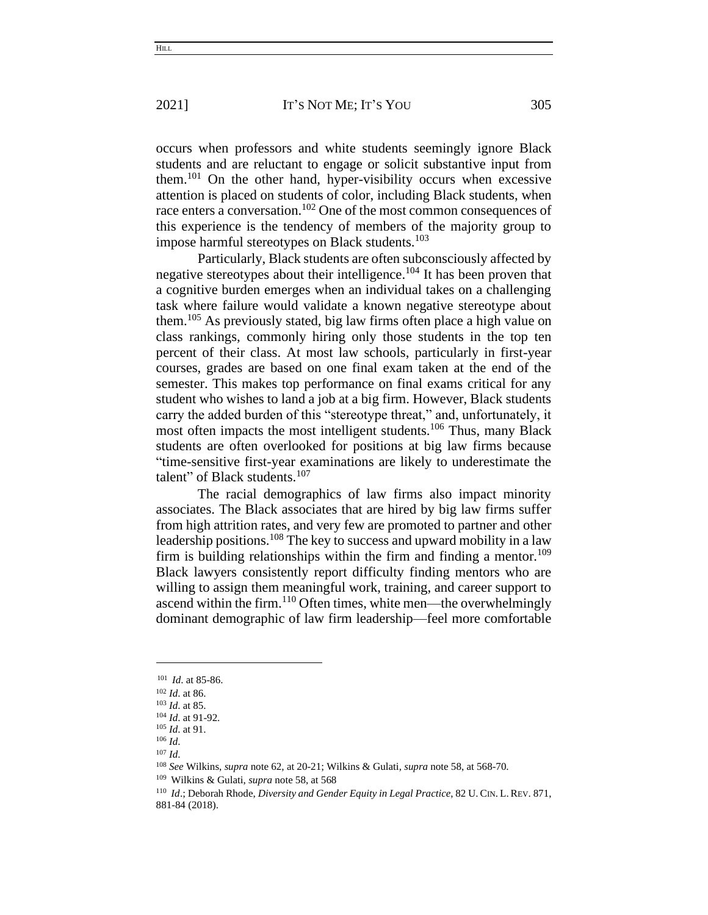occurs when professors and white students seemingly ignore Black students and are reluctant to engage or solicit substantive input from them.<sup>101</sup> On the other hand, hyper-visibility occurs when excessive attention is placed on students of color, including Black students, when race enters a conversation.<sup>102</sup> One of the most common consequences of this experience is the tendency of members of the majority group to impose harmful stereotypes on Black students.<sup>103</sup>

Particularly, Black students are often subconsciously affected by negative stereotypes about their intelligence.<sup>104</sup> It has been proven that a cognitive burden emerges when an individual takes on a challenging task where failure would validate a known negative stereotype about them.<sup>105</sup> As previously stated, big law firms often place a high value on class rankings, commonly hiring only those students in the top ten percent of their class. At most law schools, particularly in first-year courses, grades are based on one final exam taken at the end of the semester. This makes top performance on final exams critical for any student who wishes to land a job at a big firm. However, Black students carry the added burden of this "stereotype threat," and, unfortunately, it most often impacts the most intelligent students.<sup>106</sup> Thus, many Black students are often overlooked for positions at big law firms because "time-sensitive first-year examinations are likely to underestimate the talent" of Black students.<sup>107</sup>

The racial demographics of law firms also impact minority associates. The Black associates that are hired by big law firms suffer from high attrition rates, and very few are promoted to partner and other leadership positions.<sup>108</sup> The key to success and upward mobility in a law firm is building relationships within the firm and finding a mentor.<sup>109</sup> Black lawyers consistently report difficulty finding mentors who are willing to assign them meaningful work, training, and career support to ascend within the firm.<sup>110</sup> Often times, white men—the overwhelmingly dominant demographic of law firm leadership—feel more comfortable

**HILL** 

<sup>101</sup> *Id*. at 85-86.

<sup>102</sup> *Id*. at 86.

<sup>103</sup> *Id*. at 85.

<sup>104</sup> *Id*. at 91-92.

<sup>105</sup> *Id*. at 91.

<sup>106</sup> *Id*.

<sup>107</sup> *Id*.

<sup>108</sup> *See* Wilkins, *supra* note 62, at 20-21; Wilkins & Gulati, *supra* note 58, at 568-70.

<sup>109</sup> Wilkins & Gulati, *supra* note 58, at 568

<sup>110</sup> *Id*.; Deborah Rhode, *Diversity and Gender Equity in Legal Practice*, 82 U. CIN. L.REV. 871, 881-84 (2018).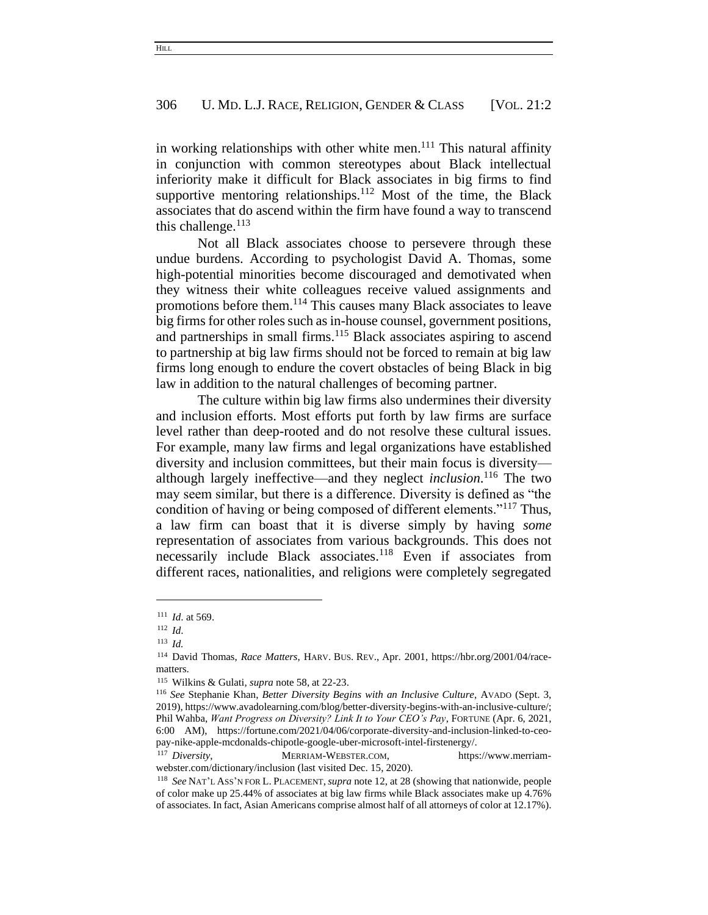in working relationships with other white men. $^{111}$  This natural affinity in conjunction with common stereotypes about Black intellectual inferiority make it difficult for Black associates in big firms to find supportive mentoring relationships.<sup>112</sup> Most of the time, the Black associates that do ascend within the firm have found a way to transcend this challenge. $^{113}$ 

Not all Black associates choose to persevere through these undue burdens. According to psychologist David A. Thomas, some high-potential minorities become discouraged and demotivated when they witness their white colleagues receive valued assignments and promotions before them.<sup>114</sup> This causes many Black associates to leave big firms for other roles such as in-house counsel, government positions, and partnerships in small firms.<sup>115</sup> Black associates aspiring to ascend to partnership at big law firms should not be forced to remain at big law firms long enough to endure the covert obstacles of being Black in big law in addition to the natural challenges of becoming partner.

The culture within big law firms also undermines their diversity and inclusion efforts. Most efforts put forth by law firms are surface level rather than deep-rooted and do not resolve these cultural issues. For example, many law firms and legal organizations have established diversity and inclusion committees, but their main focus is diversity although largely ineffective—and they neglect *inclusion*. <sup>116</sup> The two may seem similar, but there is a difference. Diversity is defined as "the condition of having or being composed of different elements."<sup>117</sup> Thus, a law firm can boast that it is diverse simply by having *some* representation of associates from various backgrounds. This does not necessarily include Black associates.<sup>118</sup> Even if associates from different races, nationalities, and religions were completely segregated

**HILL** 

<sup>111</sup> *Id*. at 569.

<sup>112</sup> *Id*.

<sup>113</sup> *Id.*

<sup>114</sup> David Thomas, *Race Matters*, HARV. BUS. REV., Apr. 2001, https://hbr.org/2001/04/racematters.

<sup>115</sup> Wilkins & Gulati, *supra* note 58, at 22-23.

<sup>116</sup> *See* Stephanie Khan, *Better Diversity Begins with an Inclusive Culture*, AVADO (Sept. 3, 2019), https://www.avadolearning.com/blog/better-diversity-begins-with-an-inclusive-culture/; Phil Wahba, *Want Progress on Diversity? Link It to Your CEO's Pay*, FORTUNE (Apr. 6, 2021, 6:00 AM), https://fortune.com/2021/04/06/corporate-diversity-and-inclusion-linked-to-ceopay-nike-apple-mcdonalds-chipotle-google-uber-microsoft-intel-firstenergy/.

<sup>&</sup>lt;sup>117</sup> Diversity, MERRIAM-WEBSTER.COM, https://www.merriamwebster.com/dictionary/inclusion (last visited Dec. 15, 2020).

<sup>118</sup> *See* NAT'L ASS'N FOR L. PLACEMENT,*supra* note 12, at 28 (showing that nationwide, people of color make up 25.44% of associates at big law firms while Black associates make up 4.76% of associates. In fact, Asian Americans comprise almost half of all attorneys of color at 12.17%).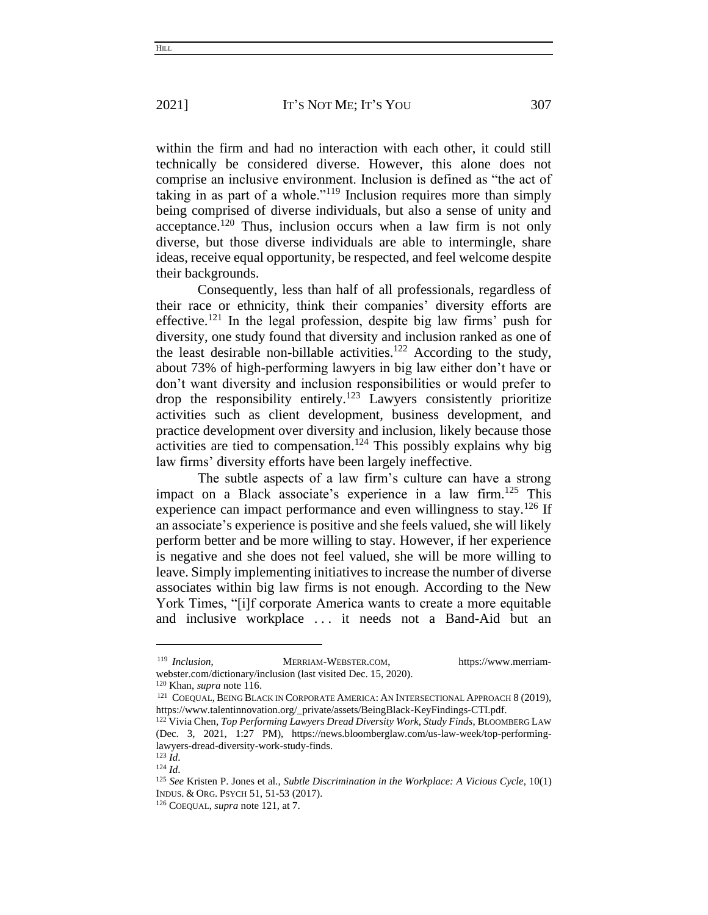within the firm and had no interaction with each other, it could still technically be considered diverse. However, this alone does not comprise an inclusive environment. Inclusion is defined as "the act of taking in as part of a whole."<sup>119</sup> Inclusion requires more than simply being comprised of diverse individuals, but also a sense of unity and acceptance.<sup>120</sup> Thus, inclusion occurs when a law firm is not only diverse, but those diverse individuals are able to intermingle, share ideas, receive equal opportunity, be respected, and feel welcome despite their backgrounds.

Consequently, less than half of all professionals, regardless of their race or ethnicity, think their companies' diversity efforts are effective.<sup>121</sup> In the legal profession, despite big law firms' push for diversity, one study found that diversity and inclusion ranked as one of the least desirable non-billable activities.<sup>122</sup> According to the study, about 73% of high-performing lawyers in big law either don't have or don't want diversity and inclusion responsibilities or would prefer to drop the responsibility entirely.<sup>123</sup> Lawyers consistently prioritize activities such as client development, business development, and practice development over diversity and inclusion, likely because those activities are tied to compensation.<sup>124</sup> This possibly explains why big law firms' diversity efforts have been largely ineffective.

The subtle aspects of a law firm's culture can have a strong impact on a Black associate's experience in a law firm.<sup>125</sup> This experience can impact performance and even willingness to stay.<sup>126</sup> If an associate's experience is positive and she feels valued, she will likely perform better and be more willing to stay. However, if her experience is negative and she does not feel valued, she will be more willing to leave. Simply implementing initiatives to increase the number of diverse associates within big law firms is not enough. According to the New York Times, "[i]f corporate America wants to create a more equitable and inclusive workplace . . . it needs not a Band-Aid but an

<sup>&</sup>lt;sup>119</sup> *Inclusion*, **MERRIAM-WEBSTER.COM,** https://www.merriamwebster.com/dictionary/inclusion (last visited Dec. 15, 2020).

<sup>120</sup> Khan, *supra* note 116.

<sup>&</sup>lt;sup>121</sup> COEQUAL, BEING BLACK IN CORPORATE AMERICA: AN INTERSECTIONAL APPROACH 8 (2019), https://www.talentinnovation.org/\_private/assets/BeingBlack-KeyFindings-CTI.pdf.

<sup>122</sup> Vivia Chen, *Top Performing Lawyers Dread Diversity Work, Study Finds*, BLOOMBERG LAW (Dec. 3, 2021, 1:27 PM), https://news.bloomberglaw.com/us-law-week/top-performinglawyers-dread-diversity-work-study-finds.

<sup>123</sup> *Id*.

<sup>124</sup> *Id*.

<sup>125</sup> *See* Kristen P. Jones et al., *Subtle Discrimination in the Workplace: A Vicious Cycle*, 10(1) INDUS. & ORG. PSYCH 51, 51-53 (2017).

<sup>126</sup> COEQUAL, *supra* note 121, at 7.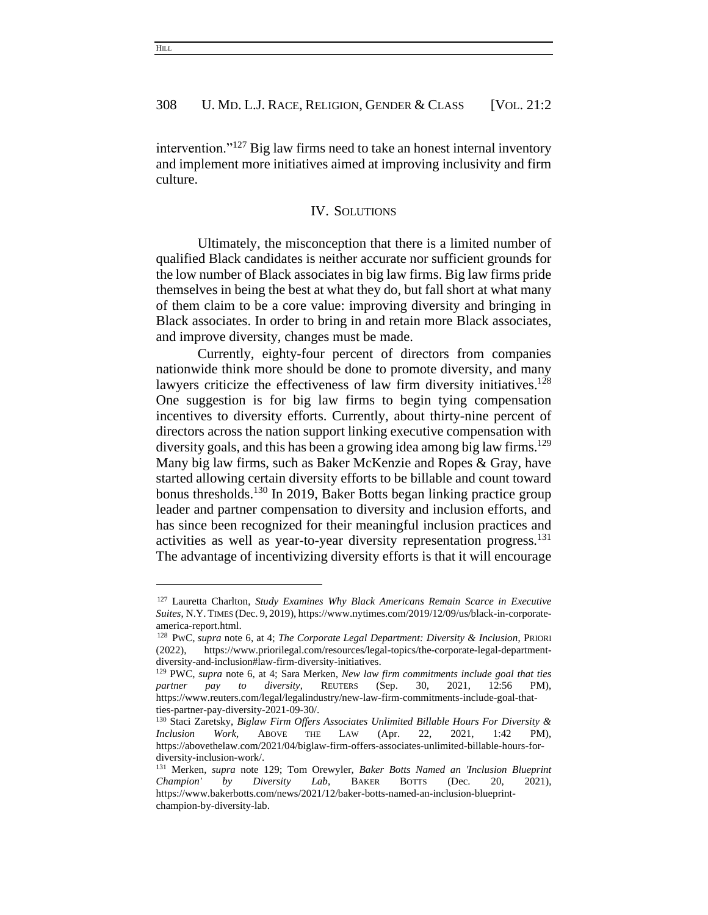intervention."<sup>127</sup> Big law firms need to take an honest internal inventory and implement more initiatives aimed at improving inclusivity and firm culture.

#### IV. SOLUTIONS

Ultimately, the misconception that there is a limited number of qualified Black candidates is neither accurate nor sufficient grounds for the low number of Black associates in big law firms. Big law firms pride themselves in being the best at what they do, but fall short at what many of them claim to be a core value: improving diversity and bringing in Black associates. In order to bring in and retain more Black associates, and improve diversity, changes must be made.

Currently, eighty-four percent of directors from companies nationwide think more should be done to promote diversity, and many lawyers criticize the effectiveness of law firm diversity initiatives.<sup>128</sup> One suggestion is for big law firms to begin tying compensation incentives to diversity efforts. Currently, about thirty-nine percent of directors across the nation support linking executive compensation with diversity goals, and this has been a growing idea among big law firms.<sup>129</sup> Many big law firms, such as Baker McKenzie and Ropes & Gray, have started allowing certain diversity efforts to be billable and count toward bonus thresholds.<sup>130</sup> In 2019, Baker Botts began linking practice group leader and partner compensation to diversity and inclusion efforts, and has since been recognized for their meaningful inclusion practices and activities as well as year-to-year diversity representation progress.<sup>131</sup> The advantage of incentivizing diversity efforts is that it will encourage

<sup>127</sup> Lauretta Charlton, *Study Examines Why Black Americans Remain Scarce in Executive Suites*, N.Y. TIMES (Dec. 9, 2019), https://www.nytimes.com/2019/12/09/us/black-in-corporateamerica-report.html.

<sup>128</sup> PWC, *supra* note 6, at 4; *The Corporate Legal Department: Diversity & Inclusion*, PRIORI (2022), https://www.priorilegal.com/resources/legal-topics/the-corporate-legal-departmentdiversity-and-inclusion#law-firm-diversity-initiatives.

<sup>&</sup>lt;sup>129</sup> PWC, *supra* note 6, at 4; Sara Merken, *New law firm commitments include goal that ties partner* pay to diversity, REUTERS (Sep. 30, 2021, 12:56 PM), *partner pay to diversity*, REUTERS (Sep. 30, 2021, 12:56 PM), https://www.reuters.com/legal/legalindustry/new-law-firm-commitments-include-goal-thatties-partner-pay-diversity-2021-09-30/.

<sup>130</sup> Staci Zaretsky, *Biglaw Firm Offers Associates Unlimited Billable Hours For Diversity & Inclusion Work*, ABOVE THE LAW (Apr. 22, 2021, 1:42 PM), https://abovethelaw.com/2021/04/biglaw-firm-offers-associates-unlimited-billable-hours-fordiversity-inclusion-work/.

<sup>131</sup> Merken, *supra* note 129; Tom Orewyler, *Baker Botts Named an 'Inclusion Blueprint Champion' by Diversity Lab*, BAKER BOTTS (Dec. 20, 2021), https://www.bakerbotts.com/news/2021/12/baker-botts-named-an-inclusion-blueprintchampion-by-diversity-lab.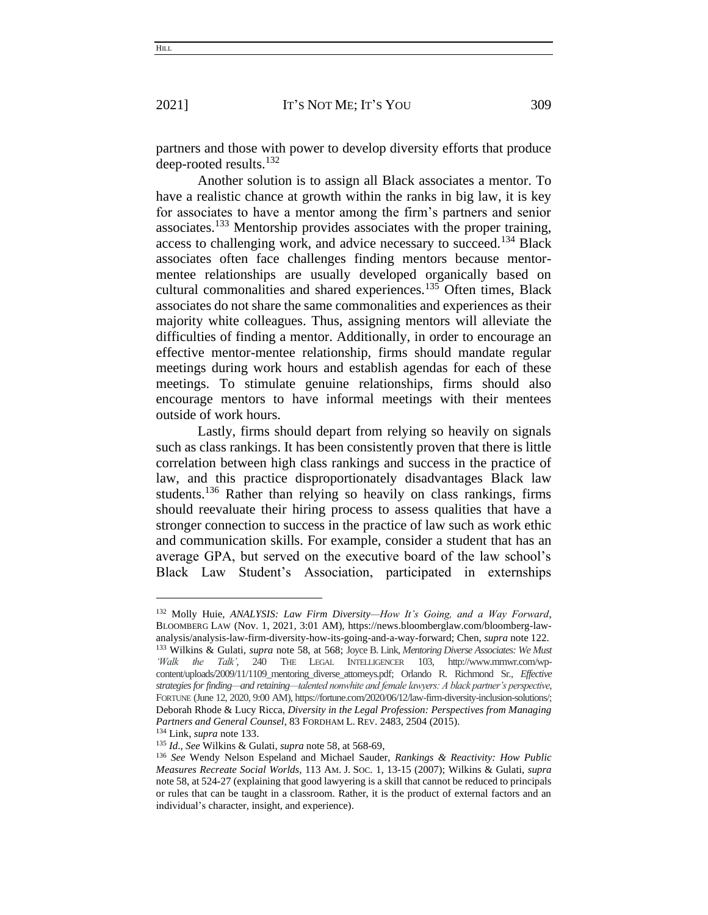partners and those with power to develop diversity efforts that produce deep-rooted results.<sup>132</sup>

Another solution is to assign all Black associates a mentor. To have a realistic chance at growth within the ranks in big law, it is key for associates to have a mentor among the firm's partners and senior associates.<sup>133</sup> Mentorship provides associates with the proper training, access to challenging work, and advice necessary to succeed.<sup>134</sup> Black associates often face challenges finding mentors because mentormentee relationships are usually developed organically based on cultural commonalities and shared experiences.<sup>135</sup> Often times, Black associates do not share the same commonalities and experiences as their majority white colleagues. Thus, assigning mentors will alleviate the difficulties of finding a mentor. Additionally, in order to encourage an effective mentor-mentee relationship, firms should mandate regular meetings during work hours and establish agendas for each of these meetings. To stimulate genuine relationships, firms should also encourage mentors to have informal meetings with their mentees outside of work hours.

Lastly, firms should depart from relying so heavily on signals such as class rankings. It has been consistently proven that there is little correlation between high class rankings and success in the practice of law, and this practice disproportionately disadvantages Black law students.<sup>136</sup> Rather than relying so heavily on class rankings, firms should reevaluate their hiring process to assess qualities that have a stronger connection to success in the practice of law such as work ethic and communication skills. For example, consider a student that has an average GPA, but served on the executive board of the law school's Black Law Student's Association, participated in externships

<sup>132</sup> Molly Huie, *ANALYSIS: Law Firm Diversity—How It's Going, and a Way Forward*, BLOOMBERG LAW (Nov. 1, 2021, 3:01 AM), https://news.bloomberglaw.com/bloomberg-lawanalysis/analysis-law-firm-diversity-how-its-going-and-a-way-forward; Chen, *supra* note 122. <sup>133</sup> Wilkins & Gulati, *supra* note 58, at 568; Joyce B. Link, *Mentoring Diverse Associates: We Must 'Walk the Talk'*, 240 THE LEGAL INTELLIGENCER 103, http://www.mmwr.com/wpcontent/uploads/2009/11/1109\_mentoring\_diverse\_attorneys.pdf; Orlando R. Richmond Sr*., Effective strategies for finding—and retaining—talented nonwhite and female lawyers: A black partner's perspective*, FORTUNE (June 12, 2020, 9:00 AM), https://fortune.com/2020/06/12/law-firm-diversity-inclusion-solutions/; Deborah Rhode & Lucy Ricca, *Diversity in the Legal Profession: Perspectives from Managing Partners and General Counsel*, 83 FORDHAM L. REV. 2483, 2504 (2015).

<sup>134</sup> Link, *supra* note 133.

<sup>135</sup> *Id*., *See* Wilkins & Gulati, *supra* note 58, at 568-69,

<sup>136</sup> *See* Wendy Nelson Espeland and Michael Sauder, *Rankings & Reactivity: How Public Measures Recreate Social Worlds*, 113 AM. J. SOC. 1, 13-15 (2007); Wilkins & Gulati, *supra*  note 58, at 524-27 (explaining that good lawyering is a skill that cannot be reduced to principals or rules that can be taught in a classroom. Rather, it is the product of external factors and an individual's character, insight, and experience).